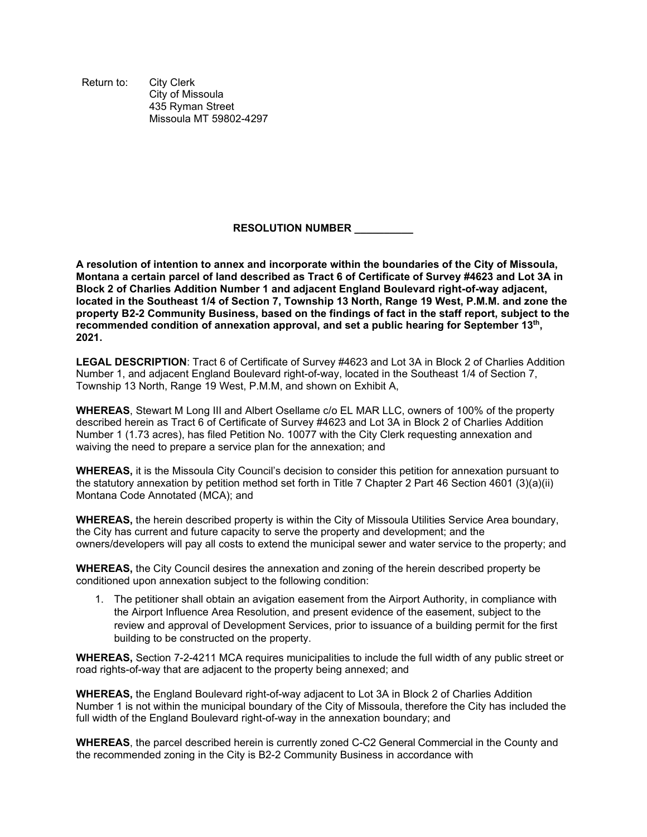Return to: City Clerk City of Missoula 435 Ryman Street Missoula MT 59802-4297

## **RESOLUTION NUMBER \_\_\_\_\_\_\_\_\_\_**

**A resolution of intention to annex and incorporate within the boundaries of the City of Missoula, Montana a certain parcel of land described as Tract 6 of Certificate of Survey #4623 and Lot 3A in Block 2 of Charlies Addition Number 1 and adjacent England Boulevard right-of-way adjacent, located in the Southeast 1/4 of Section 7, Township 13 North, Range 19 West, P.M.M. and zone the property B2-2 Community Business, based on the findings of fact in the staff report, subject to the recommended condition of annexation approval, and set a public hearing for September 13th, 2021.** 

**LEGAL DESCRIPTION**: Tract 6 of Certificate of Survey #4623 and Lot 3A in Block 2 of Charlies Addition Number 1, and adjacent England Boulevard right-of-way, located in the Southeast 1/4 of Section 7, Township 13 North, Range 19 West, P.M.M, and shown on Exhibit A,

**WHEREAS**, Stewart M Long III and Albert Osellame c/o EL MAR LLC, owners of 100% of the property described herein as Tract 6 of Certificate of Survey #4623 and Lot 3A in Block 2 of Charlies Addition Number 1 (1.73 acres), has filed Petition No. 10077 with the City Clerk requesting annexation and waiving the need to prepare a service plan for the annexation; and

**WHEREAS,** it is the Missoula City Council's decision to consider this petition for annexation pursuant to the statutory annexation by petition method set forth in Title 7 Chapter 2 Part 46 Section 4601 (3)(a)(ii) Montana Code Annotated (MCA); and

**WHEREAS,** the herein described property is within the City of Missoula Utilities Service Area boundary, the City has current and future capacity to serve the property and development; and the owners/developers will pay all costs to extend the municipal sewer and water service to the property; and

**WHEREAS,** the City Council desires the annexation and zoning of the herein described property be conditioned upon annexation subject to the following condition:

1. The petitioner shall obtain an avigation easement from the Airport Authority, in compliance with the Airport Influence Area Resolution, and present evidence of the easement, subject to the review and approval of Development Services, prior to issuance of a building permit for the first building to be constructed on the property.

**WHEREAS,** Section 7-2-4211 MCA requires municipalities to include the full width of any public street or road rights-of-way that are adjacent to the property being annexed; and

**WHEREAS,** the England Boulevard right-of-way adjacent to Lot 3A in Block 2 of Charlies Addition Number 1 is not within the municipal boundary of the City of Missoula, therefore the City has included the full width of the England Boulevard right-of-way in the annexation boundary; and

**WHEREAS**, the parcel described herein is currently zoned C-C2 General Commercial in the County and the recommended zoning in the City is B2-2 Community Business in accordance with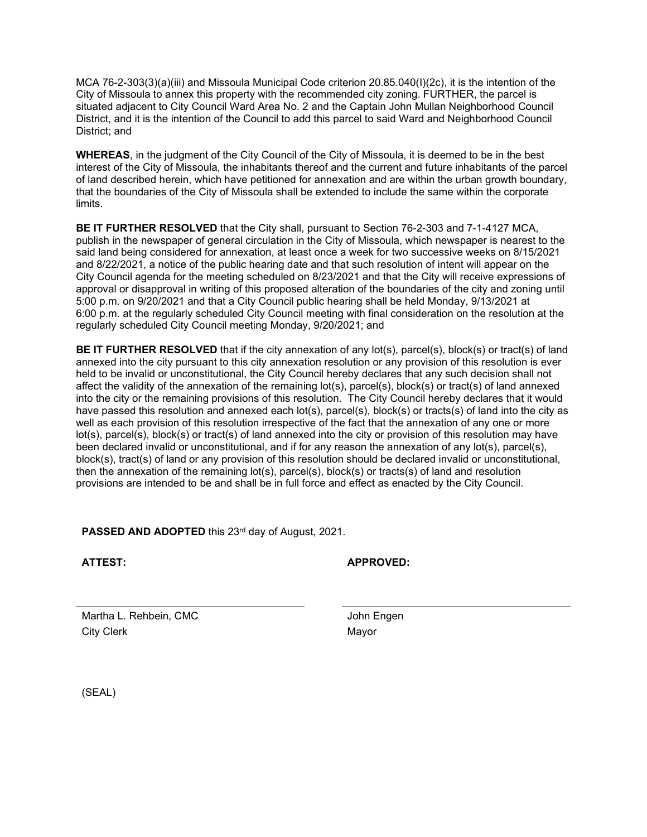MCA 76-2-303(3)(a)(iii) and Missoula Municipal Code criterion 20.85.040(I)(2c), it is the intention of the City of Missoula to annex this property with the recommended city zoning. FURTHER, the parcel is situated adjacent to City Council Ward Area No. 2 and the Captain John Mullan Neighborhood Council District, and it is the intention of the Council to add this parcel to said Ward and Neighborhood Council District; and

**WHEREAS**, in the judgment of the City Council of the City of Missoula, it is deemed to be in the best interest of the City of Missoula, the inhabitants thereof and the current and future inhabitants of the parcel of land described herein, which have petitioned for annexation and are within the urban growth boundary, that the boundaries of the City of Missoula shall be extended to include the same within the corporate limits.

**BE IT FURTHER RESOLVED** that the City shall, pursuant to Section 76-2-303 and 7-1-4127 MCA, publish in the newspaper of general circulation in the City of Missoula, which newspaper is nearest to the said land being considered for annexation, at least once a week for two successive weeks on 8/15/2021 and 8/22/2021, a notice of the public hearing date and that such resolution of intent will appear on the City Council agenda for the meeting scheduled on 8/23/2021 and that the City will receive expressions of approval or disapproval in writing of this proposed alteration of the boundaries of the city and zoning until 5:00 p.m. on 9/20/2021 and that a City Council public hearing shall be held Monday, 9/13/2021 at 6:00 p.m. at the regularly scheduled City Council meeting with final consideration on the resolution at the regularly scheduled City Council meeting Monday, 9/20/2021; and

**BE IT FURTHER RESOLVED** that if the city annexation of any lot(s), parcel(s), block(s) or tract(s) of land annexed into the city pursuant to this city annexation resolution or any provision of this resolution is ever held to be invalid or unconstitutional, the City Council hereby declares that any such decision shall not affect the validity of the annexation of the remaining lot(s), parcel(s), block(s) or tract(s) of land annexed into the city or the remaining provisions of this resolution. The City Council hereby declares that it would have passed this resolution and annexed each lot(s), parcel(s), block(s) or tracts(s) of land into the city as well as each provision of this resolution irrespective of the fact that the annexation of any one or more lot(s), parcel(s), block(s) or tract(s) of land annexed into the city or provision of this resolution may have been declared invalid or unconstitutional, and if for any reason the annexation of any lot(s), parcel(s), block(s), tract(s) of land or any provision of this resolution should be declared invalid or unconstitutional, then the annexation of the remaining lot(s), parcel(s), block(s) or tracts(s) of land and resolution provisions are intended to be and shall be in full force and effect as enacted by the City Council.

**PASSED AND ADOPTED** this 23<sup>rd</sup> day of August, 2021.

**ATTEST: APPROVED:**

Martha L. Rehbein, CMC **Vancouver Contract Contract Contract Contract Contract Contract Contract Contract Contract Contract Contract Contract Contract Contract Contract Contract Contract Contract Contract Contract Contract** City Clerk Mayor

(SEAL)